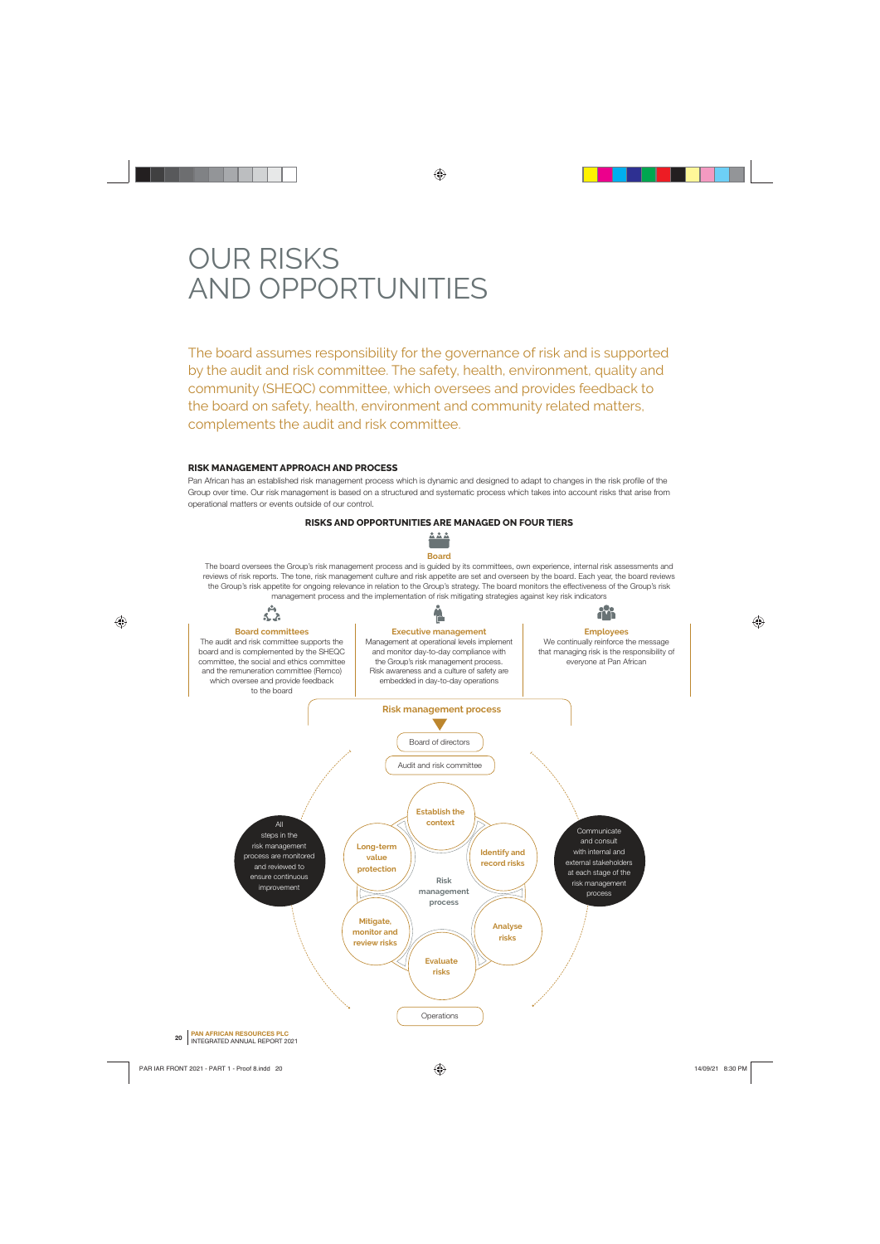# OUR RISKS AND OPPORTUNITIES

The board assumes responsibility for the governance of risk and is supported by the audit and risk committee. The safety, health, environment, quality and community (SHEQC) committee, which oversees and provides feedback to the board on safety, health, environment and community related matters, complements the audit and risk committee.

### **RISK MANAGEMENT APPROACH AND PROCESS**

Pan African has an established risk management process which is dynamic and designed to adapt to changes in the risk profile of the Group over time. Our risk management is based on a structured and systematic process which takes into account risks that arise from operational matters or events outside of our control.

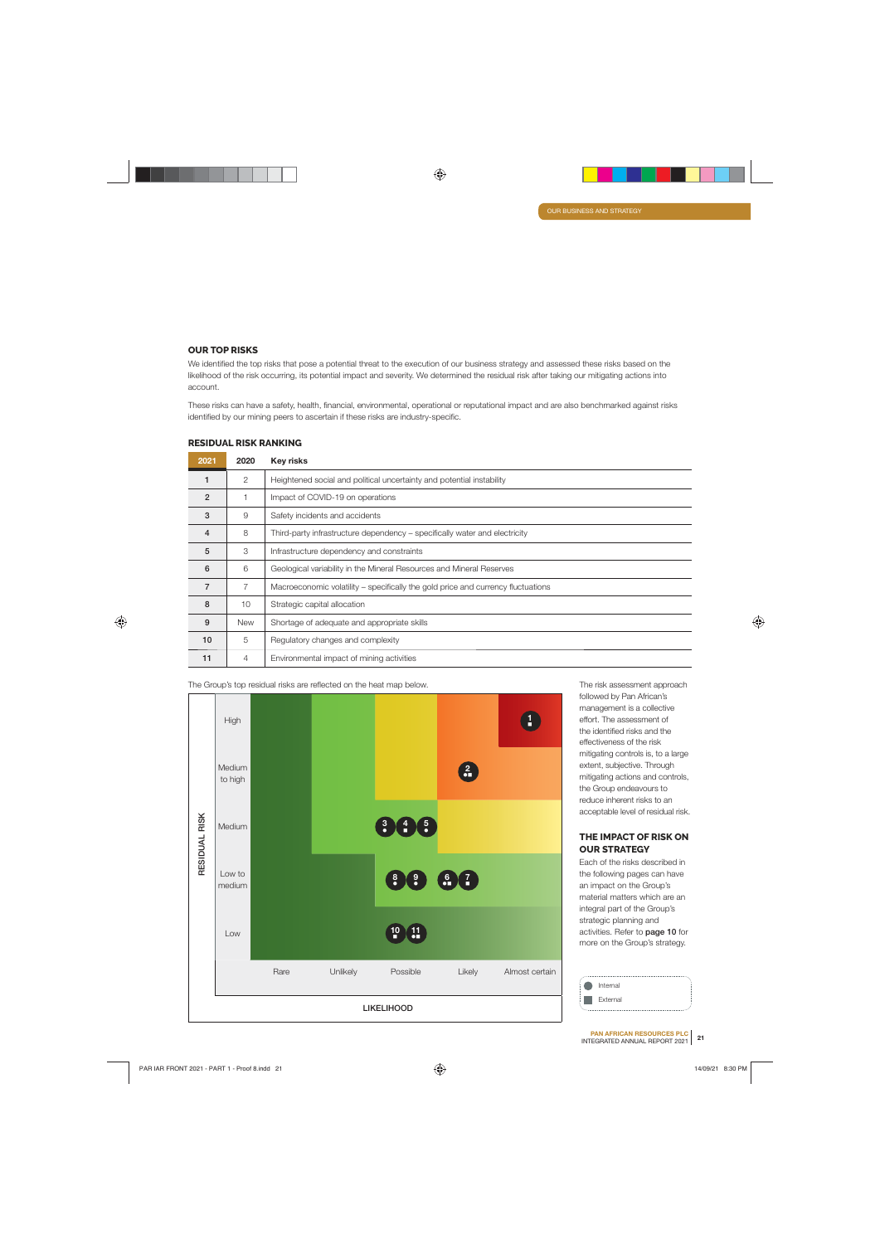### **OUR TOP RISKS**

We identified the top risks that pose a potential threat to the execution of our business strategy and assessed these risks based on the likelihood of the risk occurring, its potential impact and severity. We determined the residual risk after taking our mitigating actions into account.

These risks can have a safety, health, financial, environmental, operational or reputational impact and are also benchmarked against risks identified by our mining peers to ascertain if these risks are industry-specific.

| 2021           | 2020           | <b>Key risks</b>                                                                 |
|----------------|----------------|----------------------------------------------------------------------------------|
|                | 2              | Heightened social and political uncertainty and potential instability            |
| $\overline{2}$ |                | Impact of COVID-19 on operations                                                 |
| 3              | 9              | Safety incidents and accidents                                                   |
| 4              | 8              | Third-party infrastructure dependency - specifically water and electricity       |
| 5              | 3              | Infrastructure dependency and constraints                                        |
| 6              | 6              | Geological variability in the Mineral Resources and Mineral Reserves             |
| 7              | 7              | Macroeconomic volatility – specifically the gold price and currency fluctuations |
| 8              | 10             | Strategic capital allocation                                                     |
| 9              | <b>New</b>     | Shortage of adequate and appropriate skills                                      |
| 10             | 5              | Regulatory changes and complexity                                                |
| 11             | $\overline{4}$ | Environmental impact of mining activities                                        |

### **RESIDUAL RISK RANKING**

The Group's top residual risks are reflected on the heat map below. The risk assessment approach



followed by Pan African's management is a collective effort. The assessment of the identified risks and the effectiveness of the risk mitigating controls is, to a large extent, subjective. Through mitigating actions and controls, the Group endeavours to reduce inherent risks to an acceptable level of residual risk.

### **THE IMPACT OF RISK ON OUR STRATEGY**

Each of the risks described in the following pages can have an impact on the Group's material matters which are an integral part of the Group's strategic planning and activities. Refer to **page 10** for more on the Group's strategy.

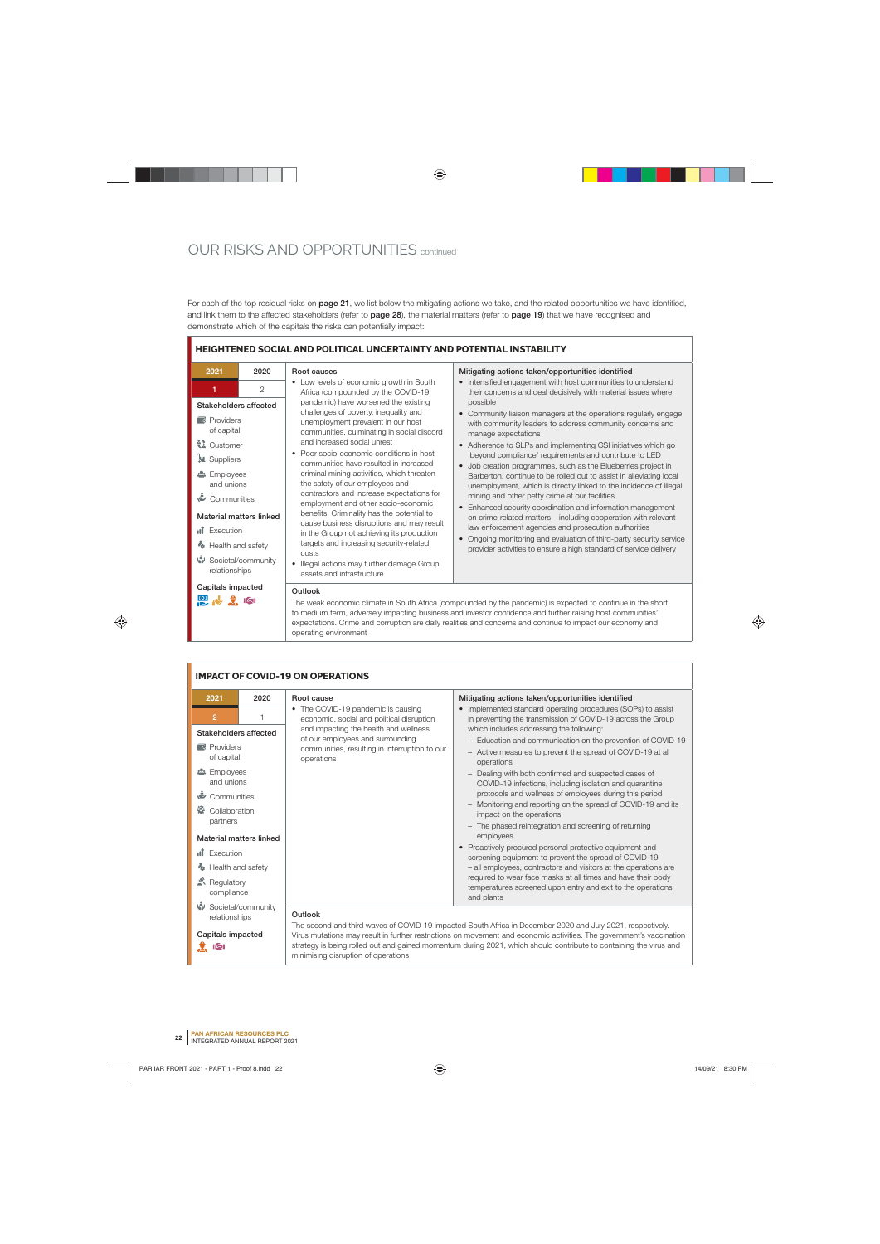## OUR RISKS AND OPPORTUNITIES continued

For each of the top residual risks on **page 21**, we list below the mitigating actions we take, and the related opportunities we have identified, and link them to the affected stakeholders (refer to **page 28**), the material matters (refer to **page 19**) that we have recognised and demonstrate which of the capitals the risks can potentially impact:



#### **IMPACT OF COVID-19 ON OPERATIONS 2021 2020 Root cause Mitigating actions taken/opportunities identified** • The COVID-19 pandemic is causing • Implemented standard operating procedures (SOPs) to assist **2** 1 economic, social and political disruption in preventing the transmission of COVID-19 across the Group and impacting the health and wellness which includes addressing the following: **Stakeholders affected** of our employees and surrounding – Education and communication on the prevention of COVID-19 **Providers** communities, resulting in interruption to our – Active measures to prevent the spread of COVID-19 at all of capital operations operations **2** Employees – Dealing with both confirmed and suspected cases of and unions COVID-19 infections, including isolation and quarantine protocols and wellness of employees during this period **Communities** – Monitoring and reporting on the spread of COVID-19 and its **Collaboration** impact on the operations partners – The phased reintegration and screening of returning employees **Material matters linked** • Proactively procured personal protective equipment and **Inf** Execution screening equipment to prevent the spread of COVID-19 **<sup><b>**</sup> Health and safety – all employees, contractors and visitors at the operations are required to wear face masks at all times and have their body Regulatory temperatures screened upon entry and exit to the operations compliance and plants Societal/community **Outlook**  relationships The second and third waves of COVID-19 impacted South Africa in December 2020 and July 2021, respectively. **Capitals impacted** Virus mutations may result in further restrictions on movement and economic activities. The government's vaccination strategy is being rolled out and gained momentum during 2021, which should contribute to containing the virus and ी प

minimising disruption of operations

**<sup>22</sup> PAN AFRICAN RESOURCES PLC** INTEGRATED ANNUAL REPORT 2021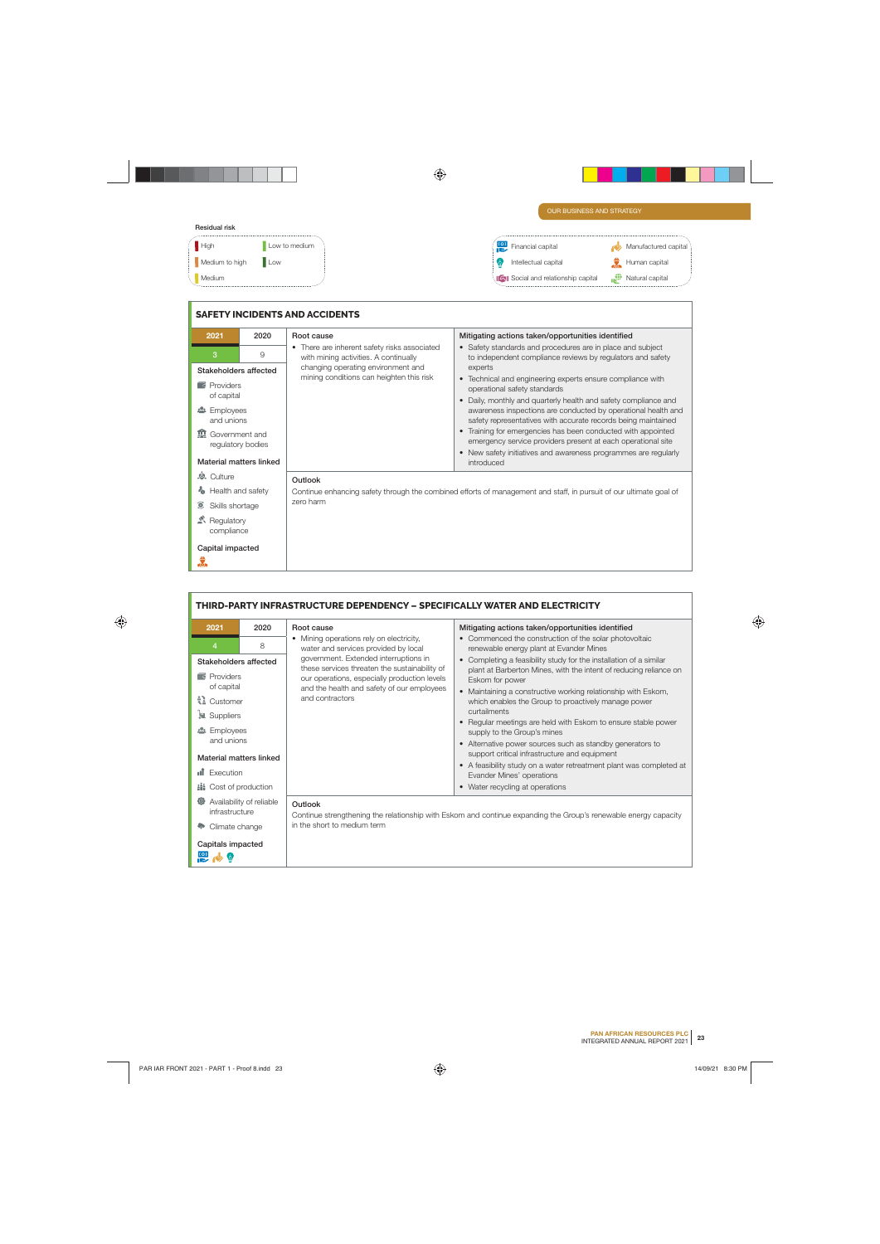### **Residual risk**

| Residual fisk  |               |   |                                     |                             |                      |
|----------------|---------------|---|-------------------------------------|-----------------------------|----------------------|
| High           | Low to medium | æ | Financial capital                   |                             | Manufactured capital |
| Medium to high | Low           |   | Intellectual capital                |                             | Human capital        |
| Medium         |               |   | IQI Social and relationship capital | $\mathbf{R}^{\mathrm{eff}}$ | Natural capital      |
|                |               |   |                                     |                             |                      |

|                                                |      | <b>SAFETY INCIDENTS AND ACCIDENTS</b>                                                                              |                                                                                                                                                                                                              |  |
|------------------------------------------------|------|--------------------------------------------------------------------------------------------------------------------|--------------------------------------------------------------------------------------------------------------------------------------------------------------------------------------------------------------|--|
| 2021                                           | 2020 | Root cause                                                                                                         | Mitigating actions taken/opportunities identified                                                                                                                                                            |  |
| 3                                              | 9    | • There are inherent safety risks associated<br>with mining activities. A continually                              | • Safety standards and procedures are in place and subject<br>to independent compliance reviews by regulators and safety                                                                                     |  |
| Stakeholders affected                          |      | changing operating environment and                                                                                 | experts                                                                                                                                                                                                      |  |
| $\blacksquare$ Providers                       |      | mining conditions can heighten this risk                                                                           | • Technical and engineering experts ensure compliance with<br>operational safety standards                                                                                                                   |  |
| of capital<br><b>2</b> Employees<br>and unions |      |                                                                                                                    | Daily, monthly and quarterly health and safety compliance and<br>$\bullet$<br>awareness inspections are conducted by operational health and<br>safety representatives with accurate records being maintained |  |
| <b>In</b> Government and<br>regulatory bodies  |      |                                                                                                                    | Training for emergencies has been conducted with appointed<br>emergency service providers present at each operational site<br>New safety initiatives and awareness programmes are regularly                  |  |
| Material matters linked                        |      |                                                                                                                    | introduced                                                                                                                                                                                                   |  |
| <b>&amp;</b> Culture                           |      | Outlook                                                                                                            |                                                                                                                                                                                                              |  |
| Health and safety                              |      | Continue enhancing safety through the combined efforts of management and staff, in pursuit of our ultimate goal of |                                                                                                                                                                                                              |  |
| O,<br>Skills shortage                          |      | zero harm                                                                                                          |                                                                                                                                                                                                              |  |
| Regulatory<br>compliance                       |      |                                                                                                                    |                                                                                                                                                                                                              |  |
| Capital impacted                               |      |                                                                                                                    |                                                                                                                                                                                                              |  |
| Ĵ.                                             |      |                                                                                                                    |                                                                                                                                                                                                              |  |

|                                                       | THIRD-PARTY INFRASTRUCTURE DEPENDENCY - SPECIFICALLY WATER AND ELECTRICITY |                                                                                        |                                                                                                                 |  |  |
|-------------------------------------------------------|----------------------------------------------------------------------------|----------------------------------------------------------------------------------------|-----------------------------------------------------------------------------------------------------------------|--|--|
| 2021                                                  | 2020                                                                       | Root cause                                                                             | Mitigating actions taken/opportunities identified                                                               |  |  |
| 4                                                     | 8                                                                          | • Mining operations rely on electricity,<br>water and services provided by local       | • Commenced the construction of the solar photovoltaic<br>renewable energy plant at Evander Mines               |  |  |
| Stakeholders affected                                 |                                                                            | government. Extended interruptions in<br>these services threaten the sustainability of | Completing a feasibility study for the installation of a similar<br>$\bullet$                                   |  |  |
| $\blacksquare$ Providers                              |                                                                            | our operations, especially production levels                                           | plant at Barberton Mines, with the intent of reducing reliance on<br>Eskom for power                            |  |  |
| of capital                                            |                                                                            | and the health and safety of our employees<br>and contractors                          | Maintaining a constructive working relationship with Eskom,                                                     |  |  |
| ₹ Customer                                            |                                                                            |                                                                                        | which enables the Group to proactively manage power<br>curtailments                                             |  |  |
| Suppliers                                             |                                                                            |                                                                                        | Regular meetings are held with Eskom to ensure stable power                                                     |  |  |
| <b>2</b> Employees<br>and unions                      |                                                                            |                                                                                        | supply to the Group's mines<br>• Alternative power sources such as standby generators to                        |  |  |
| Material matters linked                               |                                                                            |                                                                                        | support critical infrastructure and equipment                                                                   |  |  |
| пĨ<br>Execution                                       |                                                                            |                                                                                        | • A feasibility study on a water retreatment plant was completed at                                             |  |  |
| <b>iii</b> Cost of production                         |                                                                            |                                                                                        | Evander Mines' operations<br>• Water recycling at operations                                                    |  |  |
| $\circ$<br>Availability of reliable<br>infrastructure |                                                                            | Outlook                                                                                | Continue strengthening the relationship with Eskom and continue expanding the Group's renewable energy capacity |  |  |
| Climate change                                        |                                                                            | in the short to medium term                                                            |                                                                                                                 |  |  |
| Capitals impacted                                     |                                                                            |                                                                                        |                                                                                                                 |  |  |
|                                                       |                                                                            |                                                                                        |                                                                                                                 |  |  |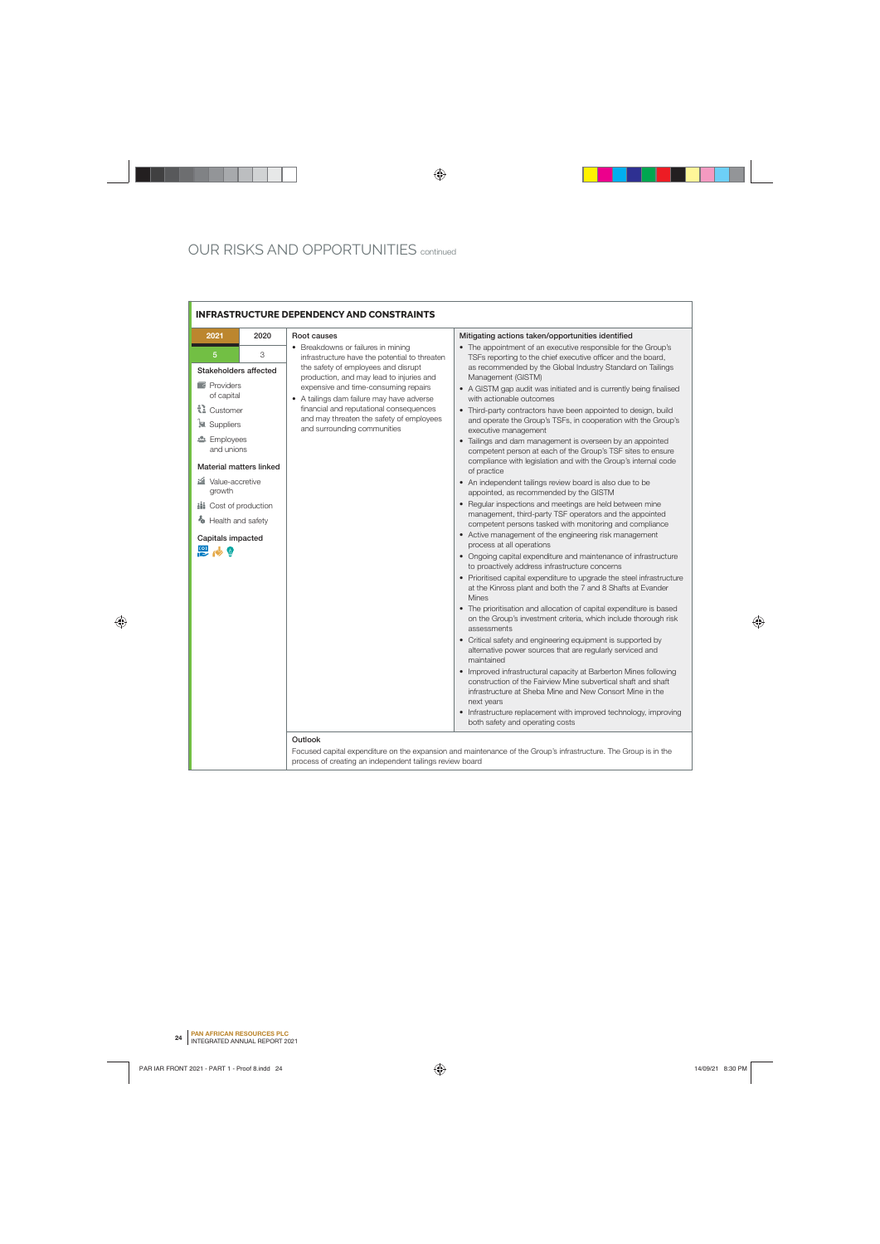Ē.

|                                                                        | <b>INFRASTRUCTURE DEPENDENCY AND CONSTRAINTS</b> |                                                                                                                               |                                                                                                                                                                                                             |  |  |
|------------------------------------------------------------------------|--------------------------------------------------|-------------------------------------------------------------------------------------------------------------------------------|-------------------------------------------------------------------------------------------------------------------------------------------------------------------------------------------------------------|--|--|
| 2021                                                                   | 2020                                             | Root causes                                                                                                                   | Mitigating actions taken/opportunities identified                                                                                                                                                           |  |  |
| 5                                                                      | 3                                                | • Breakdowns or failures in mining<br>infrastructure have the potential to threaten                                           | • The appointment of an executive responsible for the Group's<br>TSFs reporting to the chief executive officer and the board,                                                                               |  |  |
| Stakeholders affected                                                  |                                                  | the safety of employees and disrupt                                                                                           | as recommended by the Global Industry Standard on Tailings                                                                                                                                                  |  |  |
| <b>Providers</b><br>of capital                                         |                                                  | production, and may lead to injuries and<br>expensive and time-consuming repairs<br>• A tailings dam failure may have adverse | Management (GISTM)<br>• A GISTM gap audit was initiated and is currently being finalised<br>with actionable outcomes                                                                                        |  |  |
| ₹ Customer<br><b>E</b> Suppliers                                       |                                                  | financial and reputational consequences<br>and may threaten the safety of employees<br>and surrounding communities            | • Third-party contractors have been appointed to design, build<br>and operate the Group's TSFs, in cooperation with the Group's<br>executive management                                                     |  |  |
| <b>卷</b> Employees<br>and unions                                       |                                                  |                                                                                                                               | • Tailings and dam management is overseen by an appointed<br>competent person at each of the Group's TSF sites to ensure<br>compliance with legislation and with the Group's internal code                  |  |  |
| <b>Material matters linked</b><br><b>iúl</b> Value-accretive<br>growth |                                                  |                                                                                                                               | of practice<br>• An independent tailings review board is also due to be<br>appointed, as recommended by the GISTM                                                                                           |  |  |
| <b>iii</b> Cost of production                                          |                                                  |                                                                                                                               | • Regular inspections and meetings are held between mine<br>management, third-party TSF operators and the appointed                                                                                         |  |  |
| Health and safety                                                      |                                                  |                                                                                                                               | competent persons tasked with monitoring and compliance                                                                                                                                                     |  |  |
| Capitals impacted<br>巴心®                                               |                                                  |                                                                                                                               | • Active management of the engineering risk management<br>process at all operations                                                                                                                         |  |  |
|                                                                        |                                                  |                                                                                                                               | • Ongoing capital expenditure and maintenance of infrastructure<br>to proactively address infrastructure concerns                                                                                           |  |  |
|                                                                        |                                                  |                                                                                                                               | • Prioritised capital expenditure to upgrade the steel infrastructure<br>at the Kinross plant and both the 7 and 8 Shafts at Evander<br><b>Mines</b>                                                        |  |  |
|                                                                        |                                                  |                                                                                                                               | • The prioritisation and allocation of capital expenditure is based<br>on the Group's investment criteria, which include thorough risk<br>assessments                                                       |  |  |
|                                                                        |                                                  |                                                                                                                               | • Critical safety and engineering equipment is supported by<br>alternative power sources that are regularly serviced and<br>maintained                                                                      |  |  |
|                                                                        |                                                  |                                                                                                                               | • Improved infrastructural capacity at Barberton Mines following<br>construction of the Fairview Mine subvertical shaft and shaft<br>infrastructure at Sheba Mine and New Consort Mine in the<br>next years |  |  |
|                                                                        |                                                  |                                                                                                                               | • Infrastructure replacement with improved technology, improving<br>both safety and operating costs                                                                                                         |  |  |
|                                                                        |                                                  | Outlook<br>process of creating an independent tailings review board                                                           | Focused capital expenditure on the expansion and maintenance of the Group's infrastructure. The Group is in the                                                                                             |  |  |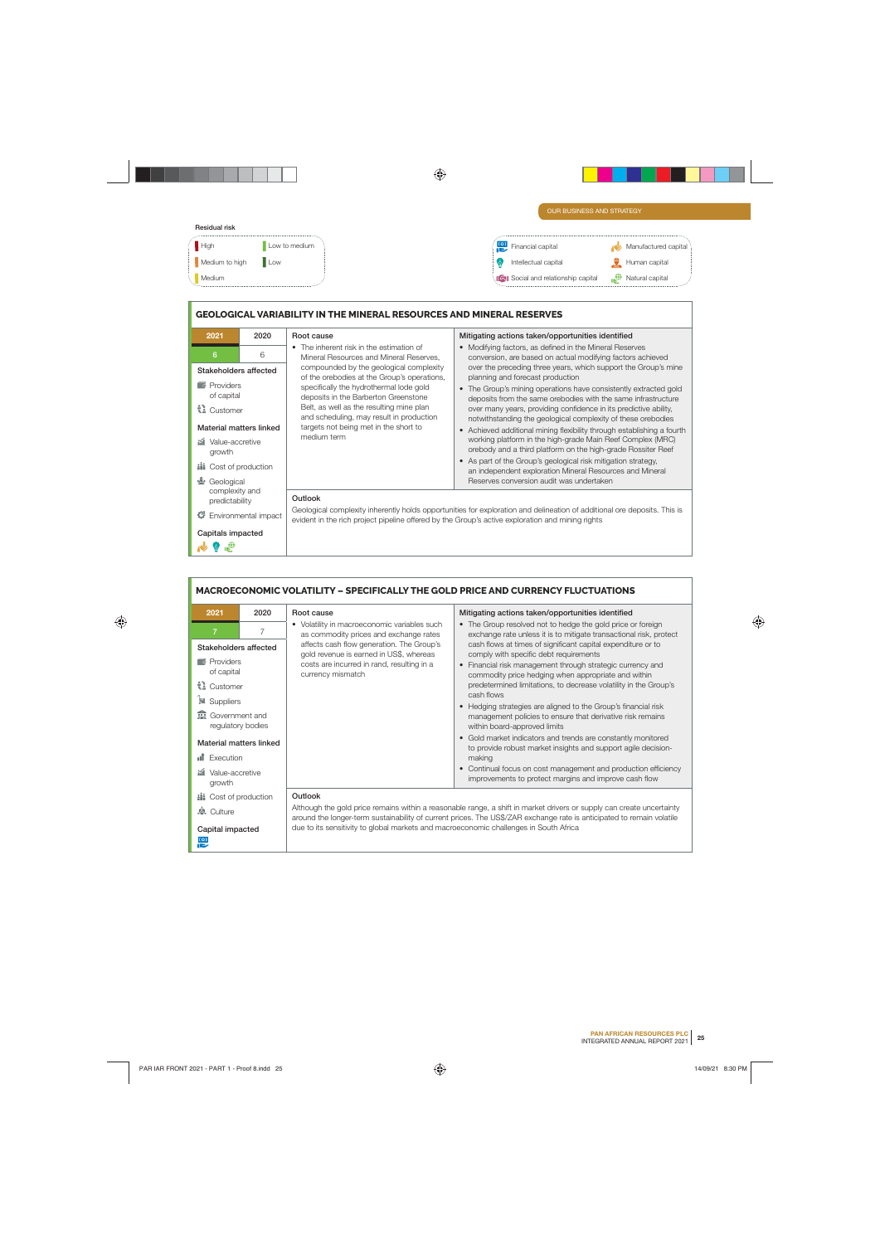| OUR BUSINESS AND STRATEGY                  |                                             |
|--------------------------------------------|---------------------------------------------|
|                                            |                                             |
| to)<br>Financial capital                   | Manufactured capital                        |
| Intellectual capital                       | capital                                     |
| <b>IGU</b> Social and relationship capital | $\mathbf{r}^{\oplus}$<br>Natural<br>capital |
|                                            |                                             |
| ow to medium.<br><b>Low</b>                |                                             |

### **GEOLOGICAL VARIABILITY IN THE MINERAL RESOURCES AND MINERAL RESERVES**

| 2021                                                                                                                                    | 2020 | Root cause                                                                                                                                                                                                                                                                                                                | Mitigating actions taken/opportunities identified                                                                                                                                                                                                                                                                                                                                                                                                                                                                                         |  |
|-----------------------------------------------------------------------------------------------------------------------------------------|------|---------------------------------------------------------------------------------------------------------------------------------------------------------------------------------------------------------------------------------------------------------------------------------------------------------------------------|-------------------------------------------------------------------------------------------------------------------------------------------------------------------------------------------------------------------------------------------------------------------------------------------------------------------------------------------------------------------------------------------------------------------------------------------------------------------------------------------------------------------------------------------|--|
| 6                                                                                                                                       | 6    | The inherent risk in the estimation of<br>$\bullet$<br>Mineral Resources and Mineral Reserves,                                                                                                                                                                                                                            | • Modifying factors, as defined in the Mineral Reserves<br>conversion, are based on actual modifying factors achieved                                                                                                                                                                                                                                                                                                                                                                                                                     |  |
| Stakeholders affected<br>$\lceil \cdot \rceil$ Providers<br>of capital<br>tl Customer<br>Material matters linked<br>iii Value-accretive |      | compounded by the geological complexity<br>of the orebodies at the Group's operations,<br>specifically the hydrothermal lode gold<br>deposits in the Barberton Greenstone<br>Belt, as well as the resulting mine plan<br>and scheduling, may result in production<br>targets not being met in the short to<br>medium term | over the preceding three years, which support the Group's mine<br>planning and forecast production<br>The Group's mining operations have consistently extracted gold<br>$\bullet$<br>deposits from the same orebodies with the same infrastructure<br>over many years, providing confidence in its predictive ability,<br>notwithstanding the geological complexity of these orebodies<br>Achieved additional mining flexibility through establishing a fourth<br>$\bullet$<br>working platform in the high-grade Main Reef Complex (MRC) |  |
| growth<br><b>iii</b> Cost of production                                                                                                 |      |                                                                                                                                                                                                                                                                                                                           | orebody and a third platform on the high-grade Rossiter Reef<br>• As part of the Group's geological risk mitigation strategy,<br>an independent exploration Mineral Resources and Mineral                                                                                                                                                                                                                                                                                                                                                 |  |
| $\frac{M_{\rm c}}{M_{\odot}}$<br>Geological                                                                                             |      |                                                                                                                                                                                                                                                                                                                           | Reserves conversion audit was undertaken                                                                                                                                                                                                                                                                                                                                                                                                                                                                                                  |  |
| complexity and<br>predictability<br>Environmental impact                                                                                |      | Outlook<br>Geological complexity inherently holds opportunities for exploration and delineation of additional ore deposits. This is<br>evident in the rich project pipeline offered by the Group's active exploration and mining rights                                                                                   |                                                                                                                                                                                                                                                                                                                                                                                                                                                                                                                                           |  |
| Capitals impacted                                                                                                                       |      |                                                                                                                                                                                                                                                                                                                           |                                                                                                                                                                                                                                                                                                                                                                                                                                                                                                                                           |  |
| <b>REA</b><br>$\bigcirc$                                                                                                                |      |                                                                                                                                                                                                                                                                                                                           |                                                                                                                                                                                                                                                                                                                                                                                                                                                                                                                                           |  |

|                                              | <b>MACROECONOMIC VOLATILITY – SPECIFICALLY THE GOLD PRICE AND CURRENCY FLUCTUATIONS</b> |                                                                                                                                                                                                                                                |                                                                                                                                   |  |  |
|----------------------------------------------|-----------------------------------------------------------------------------------------|------------------------------------------------------------------------------------------------------------------------------------------------------------------------------------------------------------------------------------------------|-----------------------------------------------------------------------------------------------------------------------------------|--|--|
| 2021                                         | 2020                                                                                    | Root cause                                                                                                                                                                                                                                     | Mitigating actions taken/opportunities identified                                                                                 |  |  |
| 7                                            | 7                                                                                       | • Volatility in macroeconomic variables such<br>as commodity prices and exchange rates                                                                                                                                                         | • The Group resolved not to hedge the gold price or foreign<br>exchange rate unless it is to mitigate transactional risk, protect |  |  |
| Stakeholders affected                        |                                                                                         | affects cash flow generation. The Group's<br>gold revenue is earned in US\$, whereas                                                                                                                                                           | cash flows at times of significant capital expenditure or to<br>comply with specific debt requirements                            |  |  |
| <b>Providers</b><br>of capital               |                                                                                         | costs are incurred in rand, resulting in a<br>currency mismatch                                                                                                                                                                                | Financial risk management through strategic currency and<br>$\bullet$<br>commodity price hedging when appropriate and within      |  |  |
| ₹ Customer                                   |                                                                                         |                                                                                                                                                                                                                                                | predetermined limitations, to decrease volatility in the Group's<br>cash flows                                                    |  |  |
| Suppliers                                    |                                                                                         |                                                                                                                                                                                                                                                | • Hedging strategies are aligned to the Group's financial risk                                                                    |  |  |
| <b>R</b> Government and<br>regulatory bodies |                                                                                         |                                                                                                                                                                                                                                                | management policies to ensure that derivative risk remains<br>within board-approved limits                                        |  |  |
| Material matters linked                      |                                                                                         |                                                                                                                                                                                                                                                | Gold market indicators and trends are constantly monitored<br>to provide robust market insights and support agile decision-       |  |  |
| <b>II</b> Execution                          |                                                                                         |                                                                                                                                                                                                                                                | making                                                                                                                            |  |  |
| iii Value-accretive<br>growth                |                                                                                         |                                                                                                                                                                                                                                                | Continual focus on cost management and production efficiency<br>improvements to protect margins and improve cash flow             |  |  |
| <b>iii</b> Cost of production                |                                                                                         | Outlook                                                                                                                                                                                                                                        |                                                                                                                                   |  |  |
| <b>&amp;</b> Culture                         |                                                                                         | Although the gold price remains within a reasonable range, a shift in market drivers or supply can create uncertainty<br>around the longer-term sustainability of current prices. The US\$/ZAR exchange rate is anticipated to remain volatile |                                                                                                                                   |  |  |
| Capital impacted<br>$\frac{101}{100}$        |                                                                                         | due to its sensitivity to global markets and macroeconomic challenges in South Africa                                                                                                                                                          |                                                                                                                                   |  |  |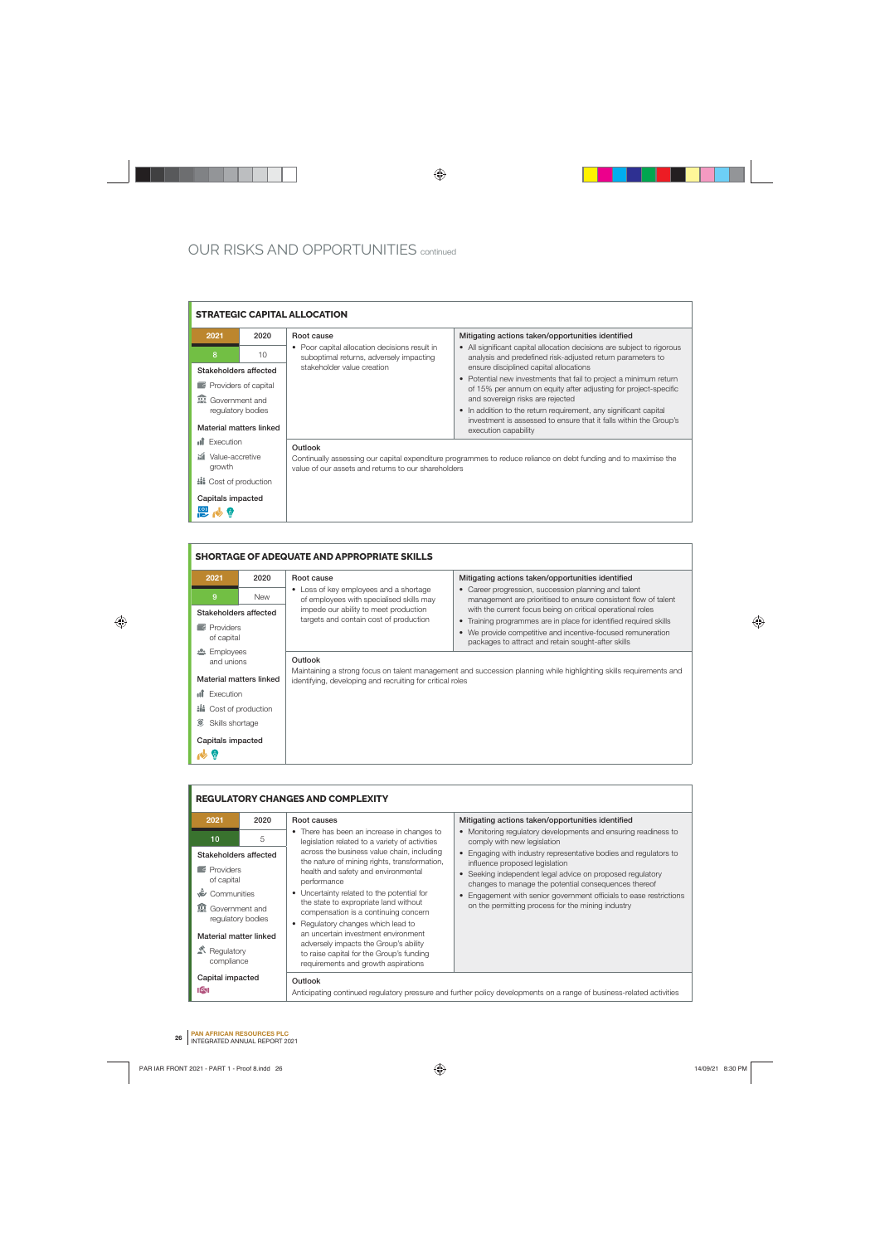|                                                      | <b>STRATEGIC CAPITAL ALLOCATION</b> |                                                                                                                                                                        |                                                                                                                                                                                |  |
|------------------------------------------------------|-------------------------------------|------------------------------------------------------------------------------------------------------------------------------------------------------------------------|--------------------------------------------------------------------------------------------------------------------------------------------------------------------------------|--|
| 2021                                                 | 2020                                | Root cause                                                                                                                                                             | Mitigating actions taken/opportunities identified                                                                                                                              |  |
| 8                                                    | 10                                  | • Poor capital allocation decisions result in<br>suboptimal returns, adversely impacting<br>stakeholder value creation                                                 | • All significant capital allocation decisions are subject to rigorous<br>analysis and predefined risk-adjusted return parameters to<br>ensure disciplined capital allocations |  |
| Stakeholders affected<br><b>Providers of capital</b> |                                     |                                                                                                                                                                        | • Potential new investments that fail to project a minimum return<br>of 15% per annum on equity after adjusting for project-specific                                           |  |
| <b>In</b> Government and                             |                                     |                                                                                                                                                                        | and sovereign risks are rejected                                                                                                                                               |  |
| regulatory bodies                                    |                                     |                                                                                                                                                                        | • In addition to the return requirement, any significant capital                                                                                                               |  |
| Material matters linked                              |                                     |                                                                                                                                                                        | investment is assessed to ensure that it falls within the Group's<br>execution capability                                                                                      |  |
| <b>II</b> Execution                                  |                                     | Outlook                                                                                                                                                                |                                                                                                                                                                                |  |
| <b>iii</b> Value-accretive<br>growth                 |                                     | Continually assessing our capital expenditure programmes to reduce reliance on debt funding and to maximise the<br>value of our assets and returns to our shareholders |                                                                                                                                                                                |  |
| <b>iii</b> Cost of production                        |                                     |                                                                                                                                                                        |                                                                                                                                                                                |  |
| Capitals impacted                                    |                                     |                                                                                                                                                                        |                                                                                                                                                                                |  |
|                                                      |                                     |                                                                                                                                                                        |                                                                                                                                                                                |  |
|                                                      |                                     |                                                                                                                                                                        |                                                                                                                                                                                |  |

| <b>SHORTAGE OF ADEQUATE AND APPROPRIATE SKILLS</b> |            |                                                                                    |                                                                                                                                                                                        |  |
|----------------------------------------------------|------------|------------------------------------------------------------------------------------|----------------------------------------------------------------------------------------------------------------------------------------------------------------------------------------|--|
| 2021                                               | 2020       | Root cause                                                                         | Mitigating actions taken/opportunities identified                                                                                                                                      |  |
| 9                                                  | <b>New</b> | • Loss of key employees and a shortage<br>of employees with specialised skills may | • Career progression, succession planning and talent<br>management are prioritised to ensure consistent flow of talent                                                                 |  |
| Stakeholders affected                              |            | impede our ability to meet production                                              | with the current focus being on critical operational roles                                                                                                                             |  |
| $\lceil \cdot \rceil$ Providers<br>of capital      |            | targets and contain cost of production                                             | • Training programmes are in place for identified required skills<br>• We provide competitive and incentive-focused remuneration<br>packages to attract and retain sought-after skills |  |
| <b>23 Employees</b><br>and unions                  |            | Outlook                                                                            |                                                                                                                                                                                        |  |
| Material matters linked                            |            | identifying, developing and recruiting for critical roles                          | Maintaining a strong focus on talent management and succession planning while highlighting skills requirements and                                                                     |  |
| Execution<br>пT                                    |            |                                                                                    |                                                                                                                                                                                        |  |
| <b>iii</b> Cost of production                      |            |                                                                                    |                                                                                                                                                                                        |  |
| ۰<br>Skills shortage                               |            |                                                                                    |                                                                                                                                                                                        |  |
| Capitals impacted<br>少立                            |            |                                                                                    |                                                                                                                                                                                        |  |

| <b>REGULATORY CHANGES AND COMPLEXITY</b>                |      |                                                                                                                                                  |                                                                                                                                                                                                                         |
|---------------------------------------------------------|------|--------------------------------------------------------------------------------------------------------------------------------------------------|-------------------------------------------------------------------------------------------------------------------------------------------------------------------------------------------------------------------------|
| 2021                                                    | 2020 | Root causes                                                                                                                                      | Mitigating actions taken/opportunities identified                                                                                                                                                                       |
| 10                                                      | 5    | • There has been an increase in changes to<br>legislation related to a variety of activities                                                     | • Monitoring regulatory developments and ensuring readiness to<br>comply with new legislation                                                                                                                           |
| Stakeholders affected<br><b>Providers</b><br>of capital |      | across the business value chain, including<br>the nature of mining rights, transformation,<br>health and safety and environmental<br>performance | • Engaging with industry representative bodies and regulators to<br>influence proposed legislation<br>• Seeking independent legal advice on proposed regulatory<br>changes to manage the potential consequences thereof |
| Communities                                             |      | Uncertainty related to the potential for<br>٠                                                                                                    | Engagement with senior government officials to ease restrictions                                                                                                                                                        |
| <b>In</b> Government and<br>regulatory bodies           |      | the state to expropriate land without<br>compensation is a continuing concern<br>Regulatory changes which lead to<br>٠                           | on the permitting process for the mining industry                                                                                                                                                                       |
| Material matter linked                                  |      | an uncertain investment environment<br>adversely impacts the Group's ability                                                                     |                                                                                                                                                                                                                         |
| $\mathbb{R}$ Regulatory<br>compliance                   |      | to raise capital for the Group's funding<br>requirements and growth aspirations                                                                  |                                                                                                                                                                                                                         |
| Capital impacted<br>।⁄प                                 |      | Outlook                                                                                                                                          | Anticipating continued regulatory pressure and further policy developments on a range of business-related activities                                                                                                    |